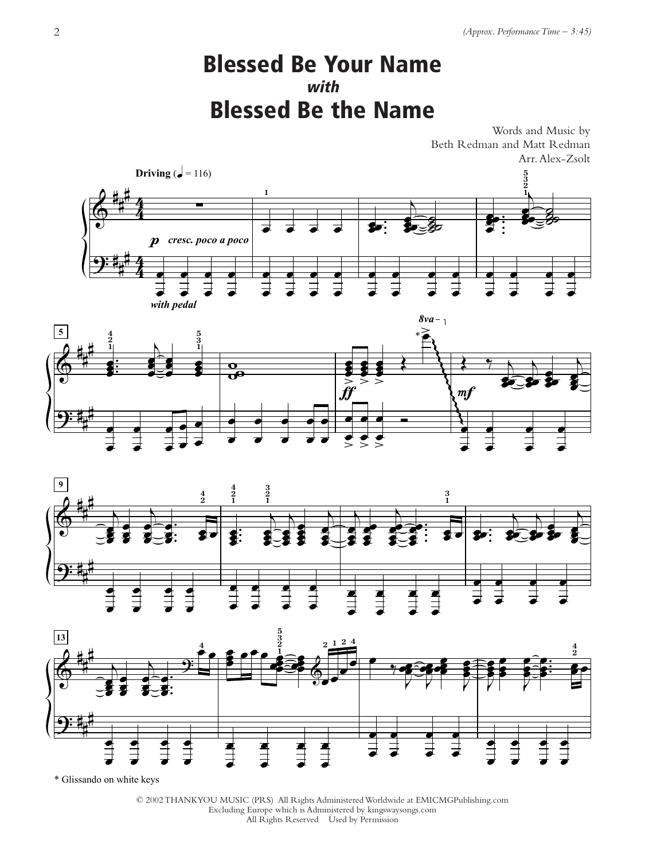## Blessed Be Your Name with Blessed Be the Name

Words and Music by Beth Redman and Matt Redman Arr. Alex-Zsolt









\* Glissando on white keys

© 2002 THANKYOU MUSIC (PRS) All Rights Administered Worldwide at EMICMGPublishing.com Excluding Europe which is Administered by kingswaysongs.com All Rights Reserved Used by Permission